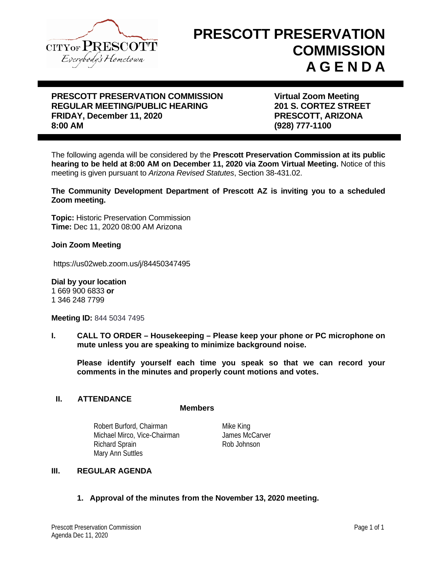

# **PRESCOTT PRESERVATION COMMISSION A G E N D A**

# **PRESCOTT PRESERVATION COMMISSION FRESCOTT PRESERVATION COMMISSION FRAGULAR MEETING/PUBLIC HEARING FRAGULARY STATES STREET REGULAR MEETING/PUBLIC HEARING FRIDAY, December 11, 2020 PRESCOTT, ARIZONA**

**8:00 AM (928) 777-1100**

The following agenda will be considered by the **Prescott Preservation Commission at its public hearing to be held at 8:00 AM on December 11, 2020 via Zoom Virtual Meeting.** Notice of this meeting is given pursuant to *Arizona Revised Statutes*, Section 38-431.02.

**The Community Development Department of Prescott AZ is inviting you to a scheduled Zoom meeting.**

**Topic:** Historic Preservation Commission **Time:** Dec 11, 2020 08:00 AM Arizona

#### **Join Zoom Meeting**

https://us02web.zoom.us/j/84450347495

**Dial by your location**  1 669 900 6833 **or** 1 346 248 7799

**Meeting ID:** 844 5034 7495

**I. CALL TO ORDER – Housekeeping – Please keep your phone or PC microphone on mute unless you are speaking to minimize background noise.**

**Please identify yourself each time you speak so that we can record your comments in the minutes and properly count motions and votes.**

#### **II. ATTENDANCE**

#### **Members**

Robert Burford, Chairman Michael Mirco, Vice-Chairman Richard Sprain Rob Johnson Mary Ann Suttles

Mike King James McCarver

# **III. REGULAR AGENDA**

**1. Approval of the minutes from the November 13, 2020 meeting.**